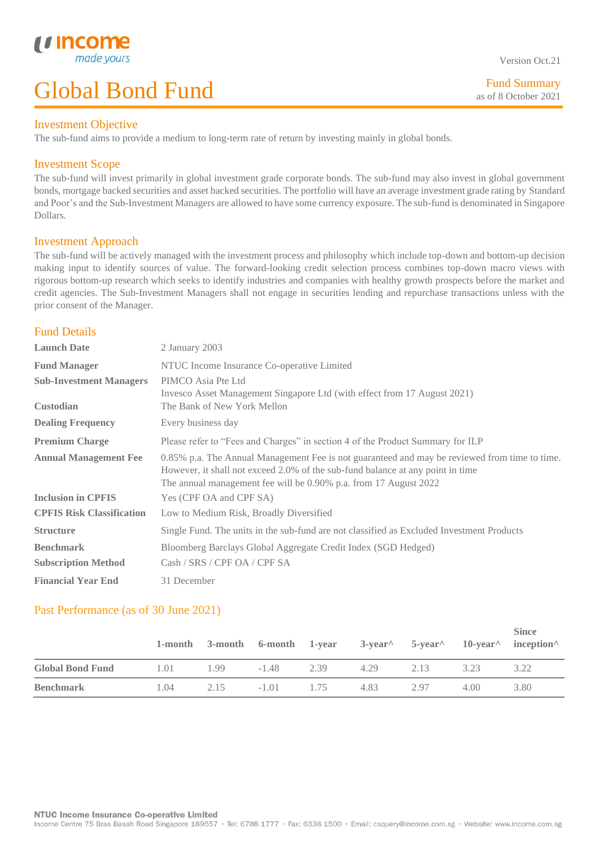## Investment Objective

The sub-fund aims to provide a medium to long-term rate of return by investing mainly in global bonds.

# Investment Scope

*u* inco

L

The sub-fund will invest primarily in global investment grade corporate bonds. The sub-fund may also invest in global government bonds, mortgage backed securities and asset backed securities. The portfolio will have an average investment grade rating by Standard and Poor's and the Sub-Investment Managers are allowed to have some currency exposure. The sub-fund is denominated in Singapore Dollars.

## Investment Approach

The sub-fund will be actively managed with the investment process and philosophy which include top-down and bottom-up decision making input to identify sources of value. The forward-looking credit selection process combines top-down macro views with rigorous bottom-up research which seeks to identify industries and companies with healthy growth prospects before the market and credit agencies. The Sub-Investment Managers shall not engage in securities lending and repurchase transactions unless with the prior consent of the Manager.

# Fund Details

| <b>Launch Date</b>               | 2 January 2003                                                                                                                                                                                                                                      |
|----------------------------------|-----------------------------------------------------------------------------------------------------------------------------------------------------------------------------------------------------------------------------------------------------|
| <b>Fund Manager</b>              | NTUC Income Insurance Co-operative Limited                                                                                                                                                                                                          |
| <b>Sub-Investment Managers</b>   | PIMCO Asia Pte Ltd<br>Invesco Asset Management Singapore Ltd (with effect from 17 August 2021)                                                                                                                                                      |
| Custodian                        | The Bank of New York Mellon                                                                                                                                                                                                                         |
| <b>Dealing Frequency</b>         | Every business day                                                                                                                                                                                                                                  |
| <b>Premium Charge</b>            | Please refer to "Fees and Charges" in section 4 of the Product Summary for ILP                                                                                                                                                                      |
| <b>Annual Management Fee</b>     | 0.85% p.a. The Annual Management Fee is not guaranteed and may be reviewed from time to time.<br>However, it shall not exceed 2.0% of the sub-fund balance at any point in time<br>The annual management fee will be 0.90% p.a. from 17 August 2022 |
| <b>Inclusion in CPFIS</b>        | Yes (CPF OA and CPF SA)                                                                                                                                                                                                                             |
| <b>CPFIS Risk Classification</b> | Low to Medium Risk, Broadly Diversified                                                                                                                                                                                                             |
| <b>Structure</b>                 | Single Fund. The units in the sub-fund are not classified as Excluded Investment Products                                                                                                                                                           |
| <b>Benchmark</b>                 | Bloomberg Barclays Global Aggregate Credit Index (SGD Hedged)                                                                                                                                                                                       |
| <b>Subscription Method</b>       | Cash / SRS / CPF OA / CPF SA                                                                                                                                                                                                                        |
| <b>Financial Year End</b>        | 31 December                                                                                                                                                                                                                                         |

## Past Performance (as of 30 June 2021)

|                         |      |      |         |      |      |      |       | <b>Since</b><br>1-month 3-month 6-month 1-year $3$ -year $5$ -year $10$ -year inception |
|-------------------------|------|------|---------|------|------|------|-------|-----------------------------------------------------------------------------------------|
| <b>Global Bond Fund</b> | 1.01 | 1.99 | $-1.48$ | 2.39 | 4.29 | 2.13 | 3.23  | 3.22                                                                                    |
| <b>Benchmark</b>        | 1.04 | 2.15 | $-1.01$ | 1.75 | 4.83 | 2.97 | 4(0() | 3.80                                                                                    |

Version Oct.21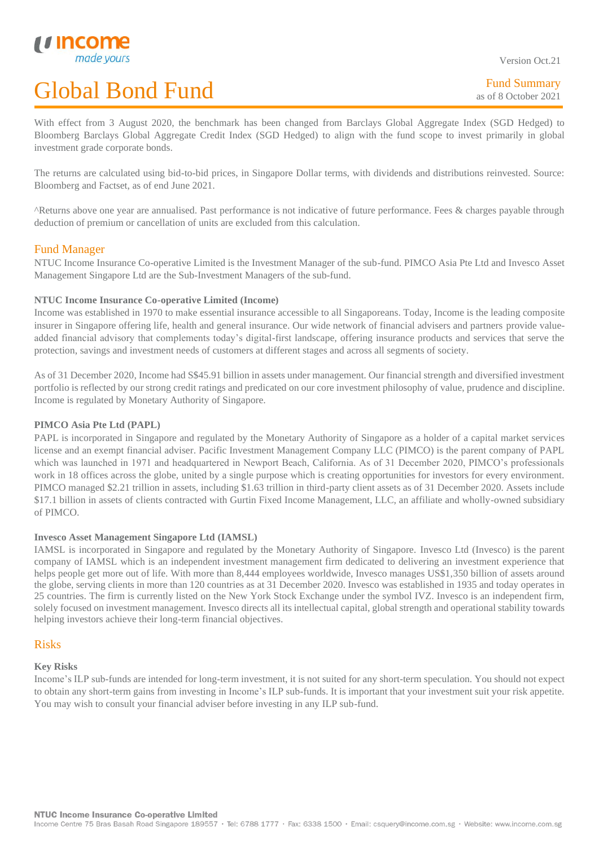Version Oct.21

With effect from 3 August 2020, the benchmark has been changed from Barclays Global Aggregate Index (SGD Hedged) to Bloomberg Barclays Global Aggregate Credit Index (SGD Hedged) to align with the fund scope to invest primarily in global investment grade corporate bonds.

The returns are calculated using bid-to-bid prices, in Singapore Dollar terms, with dividends and distributions reinvested. Source: Bloomberg and Factset, as of end June 2021.

^Returns above one year are annualised. Past performance is not indicative of future performance. Fees & charges payable through deduction of premium or cancellation of units are excluded from this calculation.

# Fund Manager

L

NTUC Income Insurance Co-operative Limited is the Investment Manager of the sub-fund. PIMCO Asia Pte Ltd and Invesco Asset Management Singapore Ltd are the Sub-Investment Managers of the sub-fund.

## **NTUC Income Insurance Co-operative Limited (Income)**

Income was established in 1970 to make essential insurance accessible to all Singaporeans. Today, Income is the leading composite insurer in Singapore offering life, health and general insurance. Our wide network of financial advisers and partners provide valueadded financial advisory that complements today's digital-first landscape, offering insurance products and services that serve the protection, savings and investment needs of customers at different stages and across all segments of society.

As of 31 December 2020, Income had S\$45.91 billion in assets under management. Our financial strength and diversified investment portfolio is reflected by our strong credit ratings and predicated on our core investment philosophy of value, prudence and discipline. Income is regulated by Monetary Authority of Singapore.

## **PIMCO Asia Pte Ltd (PAPL)**

PAPL is incorporated in Singapore and regulated by the Monetary Authority of Singapore as a holder of a capital market services license and an exempt financial adviser. Pacific Investment Management Company LLC (PIMCO) is the parent company of PAPL which was launched in 1971 and headquartered in Newport Beach, California. As of 31 December 2020, PIMCO's professionals work in 18 offices across the globe, united by a single purpose which is creating opportunities for investors for every environment. PIMCO managed \$2.21 trillion in assets, including \$1.63 trillion in third-party client assets as of 31 December 2020. Assets include \$17.1 billion in assets of clients contracted with Gurtin Fixed Income Management, LLC, an affiliate and wholly-owned subsidiary of PIMCO.

## **Invesco Asset Management Singapore Ltd (IAMSL)**

IAMSL is incorporated in Singapore and regulated by the Monetary Authority of Singapore. Invesco Ltd (Invesco) is the parent company of IAMSL which is an independent investment management firm dedicated to delivering an investment experience that helps people get more out of life. With more than 8,444 employees worldwide, Invesco manages US\$1,350 billion of assets around the globe, serving clients in more than 120 countries as at 31 December 2020. Invesco was established in 1935 and today operates in 25 countries. The firm is currently listed on the New York Stock Exchange under the symbol IVZ. Invesco is an independent firm, solely focused on investment management. Invesco directs all its intellectual capital, global strength and operational stability towards helping investors achieve their long-term financial objectives.

## Risks

### **Key Risks**

Income's ILP sub-funds are intended for long-term investment, it is not suited for any short-term speculation. You should not expect to obtain any short-term gains from investing in Income's ILP sub-funds. It is important that your investment suit your risk appetite. You may wish to consult your financial adviser before investing in any ILP sub-fund.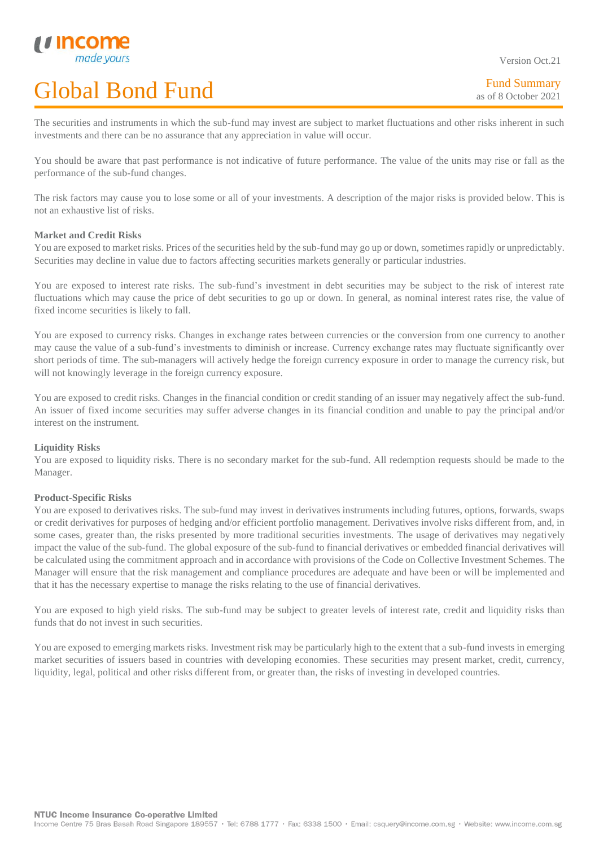Version Oct.21

The securities and instruments in which the sub-fund may invest are subject to market fluctuations and other risks inherent in such investments and there can be no assurance that any appreciation in value will occur.

You should be aware that past performance is not indicative of future performance. The value of the units may rise or fall as the performance of the sub-fund changes.

The risk factors may cause you to lose some or all of your investments. A description of the major risks is provided below. This is not an exhaustive list of risks.

### **Market and Credit Risks**

L

You are exposed to market risks. Prices of the securities held by the sub-fund may go up or down, sometimes rapidly or unpredictably. Securities may decline in value due to factors affecting securities markets generally or particular industries.

You are exposed to interest rate risks. The sub-fund's investment in debt securities may be subject to the risk of interest rate fluctuations which may cause the price of debt securities to go up or down. In general, as nominal interest rates rise, the value of fixed income securities is likely to fall.

You are exposed to currency risks. Changes in exchange rates between currencies or the conversion from one currency to another may cause the value of a sub-fund's investments to diminish or increase. Currency exchange rates may fluctuate significantly over short periods of time. The sub-managers will actively hedge the foreign currency exposure in order to manage the currency risk, but will not knowingly leverage in the foreign currency exposure.

You are exposed to credit risks. Changes in the financial condition or credit standing of an issuer may negatively affect the sub-fund. An issuer of fixed income securities may suffer adverse changes in its financial condition and unable to pay the principal and/or interest on the instrument.

## **Liquidity Risks**

You are exposed to liquidity risks. There is no secondary market for the sub-fund. All redemption requests should be made to the Manager.

### **Product-Specific Risks**

You are exposed to derivatives risks. The sub-fund may invest in derivatives instruments including futures, options, forwards, swaps or credit derivatives for purposes of hedging and/or efficient portfolio management. Derivatives involve risks different from, and, in some cases, greater than, the risks presented by more traditional securities investments. The usage of derivatives may negatively impact the value of the sub-fund. The global exposure of the sub-fund to financial derivatives or embedded financial derivatives will be calculated using the commitment approach and in accordance with provisions of the Code on Collective Investment Schemes. The Manager will ensure that the risk management and compliance procedures are adequate and have been or will be implemented and that it has the necessary expertise to manage the risks relating to the use of financial derivatives.

You are exposed to high yield risks. The sub-fund may be subject to greater levels of interest rate, credit and liquidity risks than funds that do not invest in such securities.

You are exposed to emerging markets risks. Investment risk may be particularly high to the extent that a sub-fund invests in emerging market securities of issuers based in countries with developing economies. These securities may present market, credit, currency, liquidity, legal, political and other risks different from, or greater than, the risks of investing in developed countries.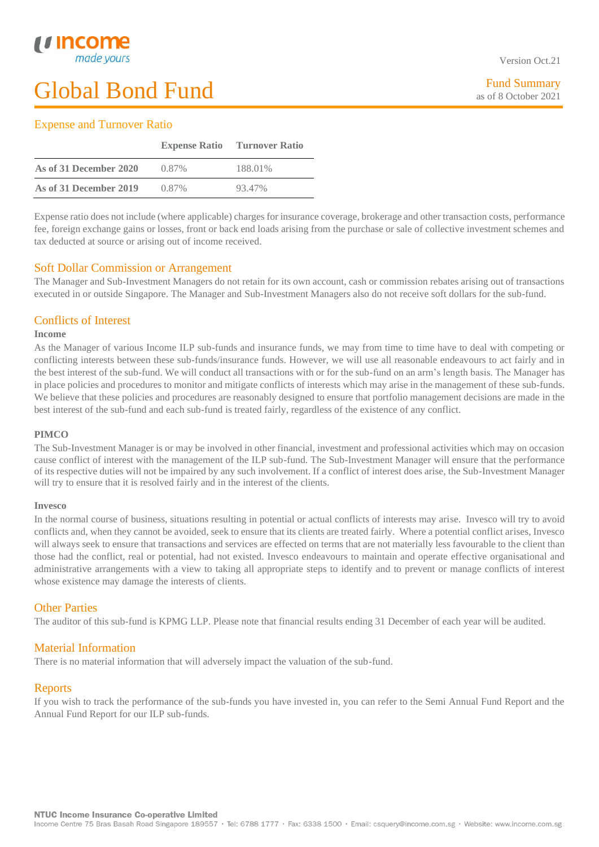# Fund Summary as of 8 October 2021

# Expense and Turnover Ratio

|                        |          | <b>Expense Ratio</b> Turnover Ratio |
|------------------------|----------|-------------------------------------|
| As of 31 December 2020 | 0.87%    | 188.01%                             |
| As of 31 December 2019 | $0.87\%$ | 93.47%                              |

Expense ratio does not include (where applicable) charges for insurance coverage, brokerage and other transaction costs, performance fee, foreign exchange gains or losses, front or back end loads arising from the purchase or sale of collective investment schemes and tax deducted at source or arising out of income received.

# Soft Dollar Commission or Arrangement

The Manager and Sub-Investment Managers do not retain for its own account, cash or commission rebates arising out of transactions executed in or outside Singapore. The Manager and Sub-Investment Managers also do not receive soft dollars for the sub-fund.

# Conflicts of Interest

## **Income**

L

As the Manager of various Income ILP sub-funds and insurance funds, we may from time to time have to deal with competing or conflicting interests between these sub-funds/insurance funds. However, we will use all reasonable endeavours to act fairly and in the best interest of the sub-fund. We will conduct all transactions with or for the sub-fund on an arm's length basis. The Manager has in place policies and procedures to monitor and mitigate conflicts of interests which may arise in the management of these sub-funds. We believe that these policies and procedures are reasonably designed to ensure that portfolio management decisions are made in the best interest of the sub-fund and each sub-fund is treated fairly, regardless of the existence of any conflict.

## **PIMCO**

The Sub-Investment Manager is or may be involved in other financial, investment and professional activities which may on occasion cause conflict of interest with the management of the ILP sub-fund. The Sub-Investment Manager will ensure that the performance of its respective duties will not be impaired by any such involvement. If a conflict of interest does arise, the Sub-Investment Manager will try to ensure that it is resolved fairly and in the interest of the clients.

## **Invesco**

In the normal course of business, situations resulting in potential or actual conflicts of interests may arise. Invesco will try to avoid conflicts and, when they cannot be avoided, seek to ensure that its clients are treated fairly. Where a potential conflict arises, Invesco will always seek to ensure that transactions and services are effected on terms that are not materially less favourable to the client than those had the conflict, real or potential, had not existed. Invesco endeavours to maintain and operate effective organisational and administrative arrangements with a view to taking all appropriate steps to identify and to prevent or manage conflicts of interest whose existence may damage the interests of clients.

# Other Parties

The auditor of this sub-fund is KPMG LLP. Please note that financial results ending 31 December of each year will be audited.

# Material Information

There is no material information that will adversely impact the valuation of the sub-fund.

# Reports

If you wish to track the performance of the sub-funds you have invested in, you can refer to the Semi Annual Fund Report and the Annual Fund Report for our ILP sub-funds.